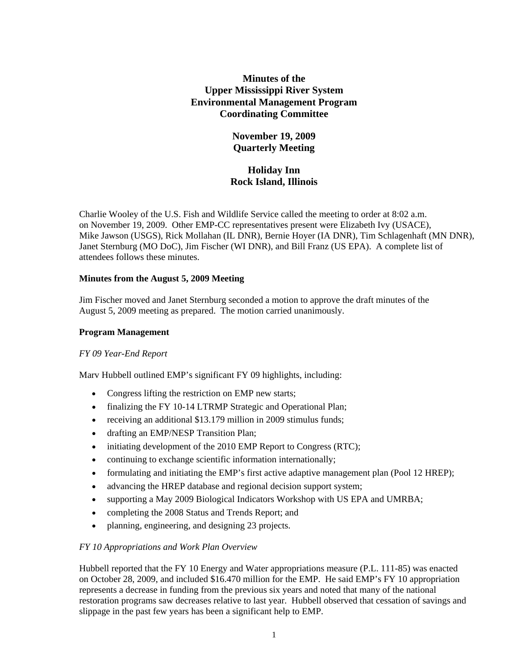# **Minutes of the Upper Mississippi River System Environmental Management Program Coordinating Committee**

# **November 19, 2009 Quarterly Meeting**

# **Holiday Inn Rock Island, Illinois**

Charlie Wooley of the U.S. Fish and Wildlife Service called the meeting to order at 8:02 a.m. on November 19, 2009. Other EMP-CC representatives present were Elizabeth Ivy (USACE), Mike Jawson (USGS), Rick Mollahan (IL DNR), Bernie Hoyer (IA DNR), Tim Schlagenhaft (MN DNR), Janet Sternburg (MO DoC), Jim Fischer (WI DNR), and Bill Franz (US EPA). A complete list of attendees follows these minutes.

## **Minutes from the August 5, 2009 Meeting**

Jim Fischer moved and Janet Sternburg seconded a motion to approve the draft minutes of the August 5, 2009 meeting as prepared. The motion carried unanimously.

## **Program Management**

#### *FY 09 Year-End Report*

Marv Hubbell outlined EMP's significant FY 09 highlights, including:

- Congress lifting the restriction on EMP new starts;
- finalizing the FY 10-14 LTRMP Strategic and Operational Plan;
- receiving an additional \$13.179 million in 2009 stimulus funds;
- drafting an EMP/NESP Transition Plan;
- initiating development of the 2010 EMP Report to Congress (RTC);
- continuing to exchange scientific information internationally;
- formulating and initiating the EMP's first active adaptive management plan (Pool 12 HREP);
- advancing the HREP database and regional decision support system;
- supporting a May 2009 Biological Indicators Workshop with US EPA and UMRBA;
- completing the 2008 Status and Trends Report; and
- planning, engineering, and designing 23 projects.

## *FY 10 Appropriations and Work Plan Overview*

Hubbell reported that the FY 10 Energy and Water appropriations measure (P.L. 111-85) was enacted on October 28, 2009, and included \$16.470 million for the EMP. He said EMP's FY 10 appropriation represents a decrease in funding from the previous six years and noted that many of the national restoration programs saw decreases relative to last year. Hubbell observed that cessation of savings and slippage in the past few years has been a significant help to EMP.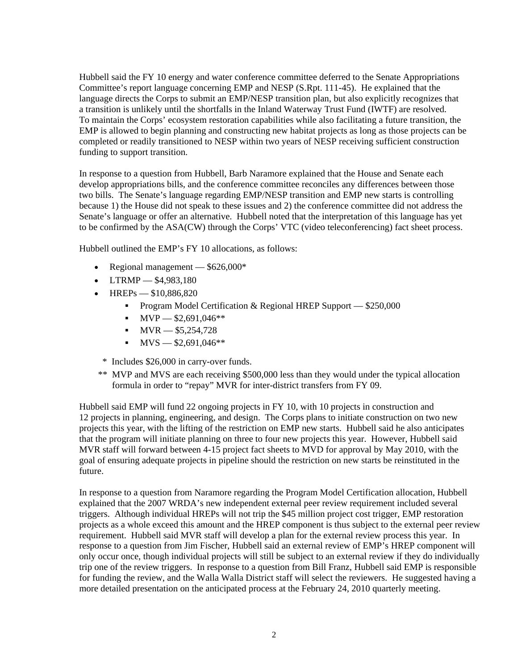Hubbell said the FY 10 energy and water conference committee deferred to the Senate Appropriations Committee's report language concerning EMP and NESP (S.Rpt. 111-45). He explained that the language directs the Corps to submit an EMP/NESP transition plan, but also explicitly recognizes that a transition is unlikely until the shortfalls in the Inland Waterway Trust Fund (IWTF) are resolved. To maintain the Corps' ecosystem restoration capabilities while also facilitating a future transition, the EMP is allowed to begin planning and constructing new habitat projects as long as those projects can be completed or readily transitioned to NESP within two years of NESP receiving sufficient construction funding to support transition.

In response to a question from Hubbell, Barb Naramore explained that the House and Senate each develop appropriations bills, and the conference committee reconciles any differences between those two bills. The Senate's language regarding EMP/NESP transition and EMP new starts is controlling because 1) the House did not speak to these issues and 2) the conference committee did not address the Senate's language or offer an alternative. Hubbell noted that the interpretation of this language has yet to be confirmed by the ASA(CW) through the Corps' VTC (video teleconferencing) fact sheet process.

Hubbell outlined the EMP's FY 10 allocations, as follows:

- Regional management \$626,000\*
- LTRMP \$4,983,180
- HREPs \$10,886,820
	- **Program Model Certification & Regional HREP Support \$250,000**
	- $\blacksquare$  MVP  $-$  \$2,691,046\*\*
	- $MVR = $5,254,728$
	- $MVS = $2,691,046**$
	- \* Includes \$26,000 in carry-over funds.
- \*\* MVP and MVS are each receiving \$500,000 less than they would under the typical allocation formula in order to "repay" MVR for inter-district transfers from FY 09.

Hubbell said EMP will fund 22 ongoing projects in FY 10, with 10 projects in construction and 12 projects in planning, engineering, and design. The Corps plans to initiate construction on two new projects this year, with the lifting of the restriction on EMP new starts. Hubbell said he also anticipates that the program will initiate planning on three to four new projects this year. However, Hubbell said MVR staff will forward between 4-15 project fact sheets to MVD for approval by May 2010, with the goal of ensuring adequate projects in pipeline should the restriction on new starts be reinstituted in the future.

In response to a question from Naramore regarding the Program Model Certification allocation, Hubbell explained that the 2007 WRDA's new independent external peer review requirement included several triggers. Although individual HREPs will not trip the \$45 million project cost trigger, EMP restoration projects as a whole exceed this amount and the HREP component is thus subject to the external peer review requirement. Hubbell said MVR staff will develop a plan for the external review process this year. In response to a question from Jim Fischer, Hubbell said an external review of EMP's HREP component will only occur once, though individual projects will still be subject to an external review if they do individually trip one of the review triggers. In response to a question from Bill Franz, Hubbell said EMP is responsible for funding the review, and the Walla Walla District staff will select the reviewers. He suggested having a more detailed presentation on the anticipated process at the February 24, 2010 quarterly meeting.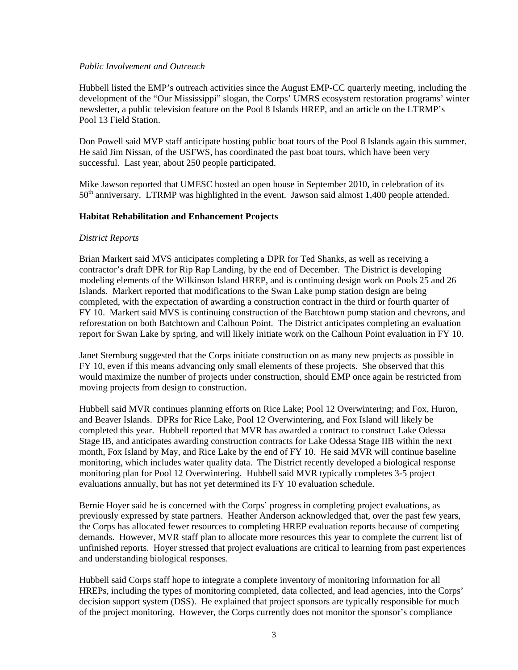#### *Public Involvement and Outreach*

Hubbell listed the EMP's outreach activities since the August EMP-CC quarterly meeting, including the development of the "Our Mississippi" slogan, the Corps' UMRS ecosystem restoration programs' winter newsletter, a public television feature on the Pool 8 Islands HREP, and an article on the LTRMP's Pool 13 Field Station.

Don Powell said MVP staff anticipate hosting public boat tours of the Pool 8 Islands again this summer. He said Jim Nissan, of the USFWS, has coordinated the past boat tours, which have been very successful. Last year, about 250 people participated.

Mike Jawson reported that UMESC hosted an open house in September 2010, in celebration of its  $50<sup>th</sup>$  anniversary. LTRMP was highlighted in the event. Jawson said almost 1,400 people attended.

#### **Habitat Rehabilitation and Enhancement Projects**

#### *District Reports*

Brian Markert said MVS anticipates completing a DPR for Ted Shanks, as well as receiving a contractor's draft DPR for Rip Rap Landing, by the end of December. The District is developing modeling elements of the Wilkinson Island HREP, and is continuing design work on Pools 25 and 26 Islands. Markert reported that modifications to the Swan Lake pump station design are being completed, with the expectation of awarding a construction contract in the third or fourth quarter of FY 10. Markert said MVS is continuing construction of the Batchtown pump station and chevrons, and reforestation on both Batchtown and Calhoun Point. The District anticipates completing an evaluation report for Swan Lake by spring, and will likely initiate work on the Calhoun Point evaluation in FY 10.

Janet Sternburg suggested that the Corps initiate construction on as many new projects as possible in FY 10, even if this means advancing only small elements of these projects. She observed that this would maximize the number of projects under construction, should EMP once again be restricted from moving projects from design to construction.

Hubbell said MVR continues planning efforts on Rice Lake; Pool 12 Overwintering; and Fox, Huron, and Beaver Islands. DPRs for Rice Lake, Pool 12 Overwintering, and Fox Island will likely be completed this year. Hubbell reported that MVR has awarded a contract to construct Lake Odessa Stage IB, and anticipates awarding construction contracts for Lake Odessa Stage IIB within the next month, Fox Island by May, and Rice Lake by the end of FY 10. He said MVR will continue baseline monitoring, which includes water quality data. The District recently developed a biological response monitoring plan for Pool 12 Overwintering. Hubbell said MVR typically completes 3-5 project evaluations annually, but has not yet determined its FY 10 evaluation schedule.

Bernie Hoyer said he is concerned with the Corps' progress in completing project evaluations, as previously expressed by state partners. Heather Anderson acknowledged that, over the past few years, the Corps has allocated fewer resources to completing HREP evaluation reports because of competing demands. However, MVR staff plan to allocate more resources this year to complete the current list of unfinished reports. Hoyer stressed that project evaluations are critical to learning from past experiences and understanding biological responses.

Hubbell said Corps staff hope to integrate a complete inventory of monitoring information for all HREPs, including the types of monitoring completed, data collected, and lead agencies, into the Corps' decision support system (DSS). He explained that project sponsors are typically responsible for much of the project monitoring. However, the Corps currently does not monitor the sponsor's compliance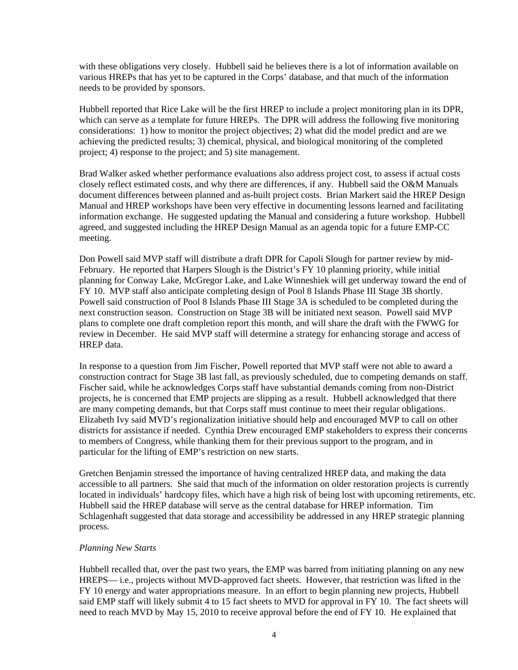with these obligations very closely. Hubbell said he believes there is a lot of information available on various HREPs that has yet to be captured in the Corps' database, and that much of the information needs to be provided by sponsors.

Hubbell reported that Rice Lake will be the first HREP to include a project monitoring plan in its DPR, which can serve as a template for future HREPs. The DPR will address the following five monitoring considerations: 1) how to monitor the project objectives; 2) what did the model predict and are we achieving the predicted results; 3) chemical, physical, and biological monitoring of the completed project; 4) response to the project; and 5) site management.

Brad Walker asked whether performance evaluations also address project cost, to assess if actual costs closely reflect estimated costs, and why there are differences, if any. Hubbell said the O&M Manuals document differences between planned and as-built project costs. Brian Markert said the HREP Design Manual and HREP workshops have been very effective in documenting lessons learned and facilitating information exchange. He suggested updating the Manual and considering a future workshop. Hubbell agreed, and suggested including the HREP Design Manual as an agenda topic for a future EMP-CC meeting.

Don Powell said MVP staff will distribute a draft DPR for Capoli Slough for partner review by mid-February. He reported that Harpers Slough is the District's FY 10 planning priority, while initial planning for Conway Lake, McGregor Lake, and Lake Winneshiek will get underway toward the end of FY 10. MVP staff also anticipate completing design of Pool 8 Islands Phase III Stage 3B shortly. Powell said construction of Pool 8 Islands Phase III Stage 3A is scheduled to be completed during the next construction season. Construction on Stage 3B will be initiated next season. Powell said MVP plans to complete one draft completion report this month, and will share the draft with the FWWG for review in December. He said MVP staff will determine a strategy for enhancing storage and access of HREP data.

In response to a question from Jim Fischer, Powell reported that MVP staff were not able to award a construction contract for Stage 3B last fall, as previously scheduled, due to competing demands on staff. Fischer said, while he acknowledges Corps staff have substantial demands coming from non-District projects, he is concerned that EMP projects are slipping as a result. Hubbell acknowledged that there are many competing demands, but that Corps staff must continue to meet their regular obligations. Elizabeth Ivy said MVD's regionalization initiative should help and encouraged MVP to call on other districts for assistance if needed. Cynthia Drew encouraged EMP stakeholders to express their concerns to members of Congress, while thanking them for their previous support to the program, and in particular for the lifting of EMP's restriction on new starts.

Gretchen Benjamin stressed the importance of having centralized HREP data, and making the data accessible to all partners. She said that much of the information on older restoration projects is currently located in individuals' hardcopy files, which have a high risk of being lost with upcoming retirements, etc. Hubbell said the HREP database will serve as the central database for HREP information. Tim Schlagenhaft suggested that data storage and accessibility be addressed in any HREP strategic planning process.

#### *Planning New Starts*

Hubbell recalled that, over the past two years, the EMP was barred from initiating planning on any new HREPS— i.e., projects without MVD-approved fact sheets. However, that restriction was lifted in the FY 10 energy and water appropriations measure. In an effort to begin planning new projects, Hubbell said EMP staff will likely submit 4 to 15 fact sheets to MVD for approval in FY 10. The fact sheets will need to reach MVD by May 15, 2010 to receive approval before the end of FY 10. He explained that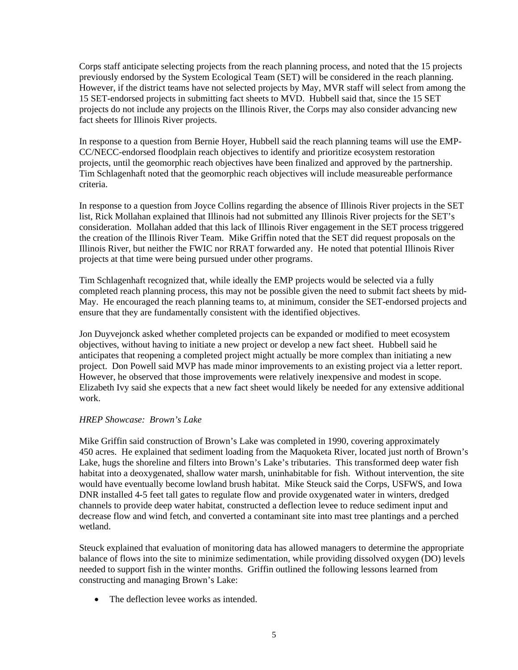Corps staff anticipate selecting projects from the reach planning process, and noted that the 15 projects previously endorsed by the System Ecological Team (SET) will be considered in the reach planning. However, if the district teams have not selected projects by May, MVR staff will select from among the 15 SET-endorsed projects in submitting fact sheets to MVD. Hubbell said that, since the 15 SET projects do not include any projects on the Illinois River, the Corps may also consider advancing new fact sheets for Illinois River projects.

In response to a question from Bernie Hoyer, Hubbell said the reach planning teams will use the EMP-CC/NECC-endorsed floodplain reach objectives to identify and prioritize ecosystem restoration projects, until the geomorphic reach objectives have been finalized and approved by the partnership. Tim Schlagenhaft noted that the geomorphic reach objectives will include measureable performance criteria.

In response to a question from Joyce Collins regarding the absence of Illinois River projects in the SET list, Rick Mollahan explained that Illinois had not submitted any Illinois River projects for the SET's consideration. Mollahan added that this lack of Illinois River engagement in the SET process triggered the creation of the Illinois River Team. Mike Griffin noted that the SET did request proposals on the Illinois River, but neither the FWIC nor RRAT forwarded any. He noted that potential Illinois River projects at that time were being pursued under other programs.

Tim Schlagenhaft recognized that, while ideally the EMP projects would be selected via a fully completed reach planning process, this may not be possible given the need to submit fact sheets by mid-May. He encouraged the reach planning teams to, at minimum, consider the SET-endorsed projects and ensure that they are fundamentally consistent with the identified objectives.

Jon Duyvejonck asked whether completed projects can be expanded or modified to meet ecosystem objectives, without having to initiate a new project or develop a new fact sheet. Hubbell said he anticipates that reopening a completed project might actually be more complex than initiating a new project. Don Powell said MVP has made minor improvements to an existing project via a letter report. However, he observed that those improvements were relatively inexpensive and modest in scope. Elizabeth Ivy said she expects that a new fact sheet would likely be needed for any extensive additional work.

#### *HREP Showcase: Brown's Lake*

Mike Griffin said construction of Brown's Lake was completed in 1990, covering approximately 450 acres. He explained that sediment loading from the Maquoketa River, located just north of Brown's Lake, hugs the shoreline and filters into Brown's Lake's tributaries. This transformed deep water fish habitat into a deoxygenated, shallow water marsh, uninhabitable for fish. Without intervention, the site would have eventually become lowland brush habitat. Mike Steuck said the Corps, USFWS, and Iowa DNR installed 4-5 feet tall gates to regulate flow and provide oxygenated water in winters, dredged channels to provide deep water habitat, constructed a deflection levee to reduce sediment input and decrease flow and wind fetch, and converted a contaminant site into mast tree plantings and a perched wetland.

Steuck explained that evaluation of monitoring data has allowed managers to determine the appropriate balance of flows into the site to minimize sedimentation, while providing dissolved oxygen (DO) levels needed to support fish in the winter months. Griffin outlined the following lessons learned from constructing and managing Brown's Lake:

• The deflection levee works as intended.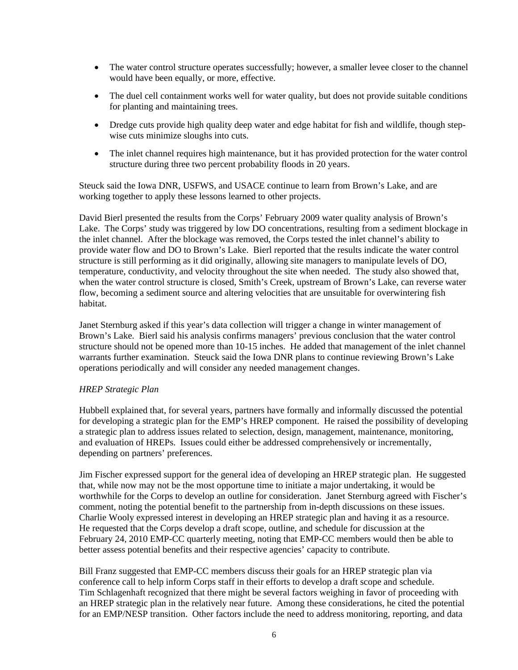- The water control structure operates successfully; however, a smaller levee closer to the channel would have been equally, or more, effective.
- The duel cell containment works well for water quality, but does not provide suitable conditions for planting and maintaining trees.
- Dredge cuts provide high quality deep water and edge habitat for fish and wildlife, though stepwise cuts minimize sloughs into cuts.
- The inlet channel requires high maintenance, but it has provided protection for the water control structure during three two percent probability floods in 20 years.

Steuck said the Iowa DNR, USFWS, and USACE continue to learn from Brown's Lake, and are working together to apply these lessons learned to other projects.

David Bierl presented the results from the Corps' February 2009 water quality analysis of Brown's Lake. The Corps' study was triggered by low DO concentrations, resulting from a sediment blockage in the inlet channel. After the blockage was removed, the Corps tested the inlet channel's ability to provide water flow and DO to Brown's Lake. Bierl reported that the results indicate the water control structure is still performing as it did originally, allowing site managers to manipulate levels of DO, temperature, conductivity, and velocity throughout the site when needed. The study also showed that, when the water control structure is closed, Smith's Creek, upstream of Brown's Lake, can reverse water flow, becoming a sediment source and altering velocities that are unsuitable for overwintering fish habitat.

Janet Sternburg asked if this year's data collection will trigger a change in winter management of Brown's Lake. Bierl said his analysis confirms managers' previous conclusion that the water control structure should not be opened more than 10-15 inches. He added that management of the inlet channel warrants further examination. Steuck said the Iowa DNR plans to continue reviewing Brown's Lake operations periodically and will consider any needed management changes.

#### *HREP Strategic Plan*

Hubbell explained that, for several years, partners have formally and informally discussed the potential for developing a strategic plan for the EMP's HREP component. He raised the possibility of developing a strategic plan to address issues related to selection, design, management, maintenance, monitoring, and evaluation of HREPs. Issues could either be addressed comprehensively or incrementally, depending on partners' preferences.

Jim Fischer expressed support for the general idea of developing an HREP strategic plan. He suggested that, while now may not be the most opportune time to initiate a major undertaking, it would be worthwhile for the Corps to develop an outline for consideration. Janet Sternburg agreed with Fischer's comment, noting the potential benefit to the partnership from in-depth discussions on these issues. Charlie Wooly expressed interest in developing an HREP strategic plan and having it as a resource. He requested that the Corps develop a draft scope, outline, and schedule for discussion at the February 24, 2010 EMP-CC quarterly meeting, noting that EMP-CC members would then be able to better assess potential benefits and their respective agencies' capacity to contribute.

Bill Franz suggested that EMP-CC members discuss their goals for an HREP strategic plan via conference call to help inform Corps staff in their efforts to develop a draft scope and schedule. Tim Schlagenhaft recognized that there might be several factors weighing in favor of proceeding with an HREP strategic plan in the relatively near future. Among these considerations, he cited the potential for an EMP/NESP transition. Other factors include the need to address monitoring, reporting, and data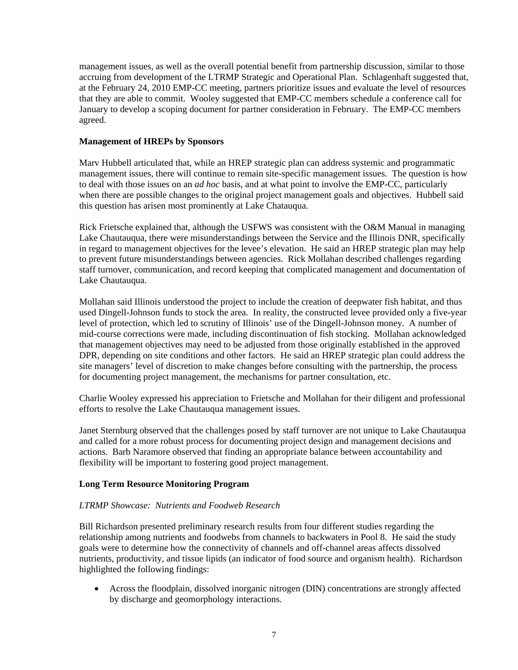management issues, as well as the overall potential benefit from partnership discussion, similar to those accruing from development of the LTRMP Strategic and Operational Plan. Schlagenhaft suggested that, at the February 24, 2010 EMP-CC meeting, partners prioritize issues and evaluate the level of resources that they are able to commit. Wooley suggested that EMP-CC members schedule a conference call for January to develop a scoping document for partner consideration in February. The EMP-CC members agreed.

#### **Management of HREPs by Sponsors**

Marv Hubbell articulated that, while an HREP strategic plan can address systemic and programmatic management issues, there will continue to remain site-specific management issues. The question is how to deal with those issues on an *ad hoc* basis, and at what point to involve the EMP-CC, particularly when there are possible changes to the original project management goals and objectives. Hubbell said this question has arisen most prominently at Lake Chatauqua.

Rick Frietsche explained that, although the USFWS was consistent with the O&M Manual in managing Lake Chautauqua, there were misunderstandings between the Service and the Illinois DNR, specifically in regard to management objectives for the levee's elevation. He said an HREP strategic plan may help to prevent future misunderstandings between agencies. Rick Mollahan described challenges regarding staff turnover, communication, and record keeping that complicated management and documentation of Lake Chautauqua.

Mollahan said Illinois understood the project to include the creation of deepwater fish habitat, and thus used Dingell-Johnson funds to stock the area. In reality, the constructed levee provided only a five-year level of protection, which led to scrutiny of Illinois' use of the Dingell-Johnson money. A number of mid-course corrections were made, including discontinuation of fish stocking. Mollahan acknowledged that management objectives may need to be adjusted from those originally established in the approved DPR, depending on site conditions and other factors. He said an HREP strategic plan could address the site managers' level of discretion to make changes before consulting with the partnership, the process for documenting project management, the mechanisms for partner consultation, etc.

Charlie Wooley expressed his appreciation to Frietsche and Mollahan for their diligent and professional efforts to resolve the Lake Chautauqua management issues.

Janet Sternburg observed that the challenges posed by staff turnover are not unique to Lake Chautauqua and called for a more robust process for documenting project design and management decisions and actions. Barb Naramore observed that finding an appropriate balance between accountability and flexibility will be important to fostering good project management.

#### **Long Term Resource Monitoring Program**

#### *LTRMP Showcase: Nutrients and Foodweb Research*

Bill Richardson presented preliminary research results from four different studies regarding the relationship among nutrients and foodwebs from channels to backwaters in Pool 8. He said the study goals were to determine how the connectivity of channels and off-channel areas affects dissolved nutrients, productivity, and tissue lipids (an indicator of food source and organism health). Richardson highlighted the following findings:

• Across the floodplain, dissolved inorganic nitrogen (DIN) concentrations are strongly affected by discharge and geomorphology interactions.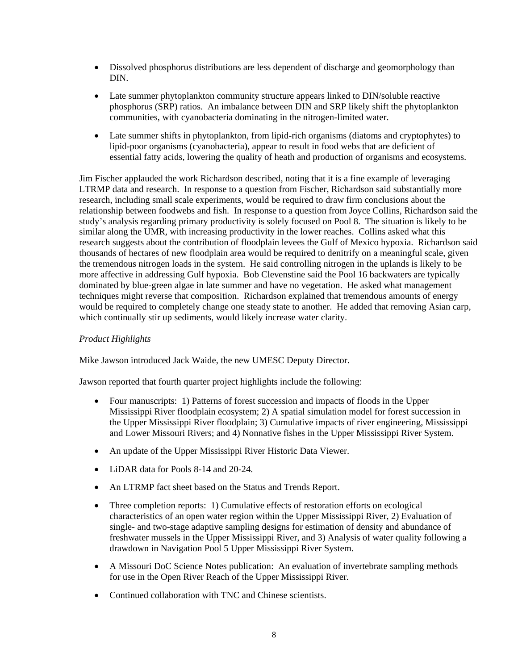- Dissolved phosphorus distributions are less dependent of discharge and geomorphology than DIN.
- Late summer phytoplankton community structure appears linked to DIN/soluble reactive phosphorus (SRP) ratios. An imbalance between DIN and SRP likely shift the phytoplankton communities, with cyanobacteria dominating in the nitrogen-limited water.
- Late summer shifts in phytoplankton, from lipid-rich organisms (diatoms and cryptophytes) to lipid-poor organisms (cyanobacteria), appear to result in food webs that are deficient of essential fatty acids, lowering the quality of heath and production of organisms and ecosystems.

Jim Fischer applauded the work Richardson described, noting that it is a fine example of leveraging LTRMP data and research. In response to a question from Fischer, Richardson said substantially more research, including small scale experiments, would be required to draw firm conclusions about the relationship between foodwebs and fish. In response to a question from Joyce Collins, Richardson said the study's analysis regarding primary productivity is solely focused on Pool 8. The situation is likely to be similar along the UMR, with increasing productivity in the lower reaches. Collins asked what this research suggests about the contribution of floodplain levees the Gulf of Mexico hypoxia. Richardson said thousands of hectares of new floodplain area would be required to denitrify on a meaningful scale, given the tremendous nitrogen loads in the system. He said controlling nitrogen in the uplands is likely to be more affective in addressing Gulf hypoxia. Bob Clevenstine said the Pool 16 backwaters are typically dominated by blue-green algae in late summer and have no vegetation. He asked what management techniques might reverse that composition. Richardson explained that tremendous amounts of energy would be required to completely change one steady state to another. He added that removing Asian carp, which continually stir up sediments, would likely increase water clarity.

## *Product Highlights*

Mike Jawson introduced Jack Waide, the new UMESC Deputy Director.

Jawson reported that fourth quarter project highlights include the following:

- Four manuscripts: 1) Patterns of forest succession and impacts of floods in the Upper Mississippi River floodplain ecosystem; 2) A spatial simulation model for forest succession in the Upper Mississippi River floodplain; 3) Cumulative impacts of river engineering, Mississippi and Lower Missouri Rivers; and 4) Nonnative fishes in the Upper Mississippi River System.
- An update of the Upper Mississippi River Historic Data Viewer.
- LiDAR data for Pools 8-14 and 20-24.
- An LTRMP fact sheet based on the Status and Trends Report.
- Three completion reports: 1) Cumulative effects of restoration efforts on ecological characteristics of an open water region within the Upper Mississippi River, 2) Evaluation of single- and two-stage adaptive sampling designs for estimation of density and abundance of freshwater mussels in the Upper Mississippi River, and 3) Analysis of water quality following a drawdown in Navigation Pool 5 Upper Mississippi River System.
- A Missouri DoC Science Notes publication: An evaluation of invertebrate sampling methods for use in the Open River Reach of the Upper Mississippi River.
- Continued collaboration with TNC and Chinese scientists.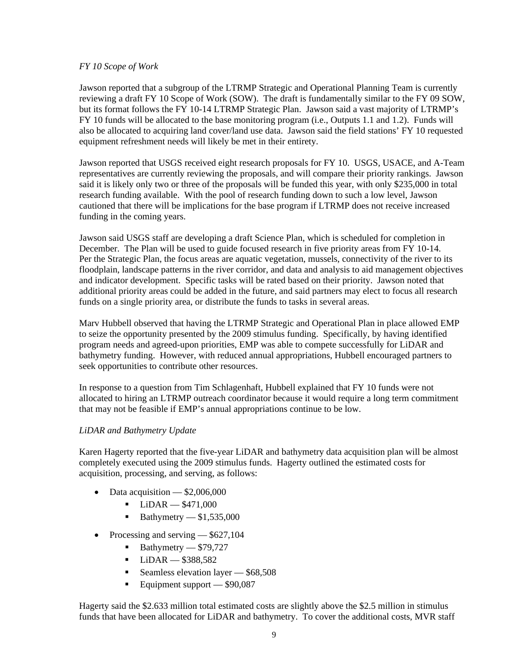#### *FY 10 Scope of Work*

Jawson reported that a subgroup of the LTRMP Strategic and Operational Planning Team is currently reviewing a draft FY 10 Scope of Work (SOW). The draft is fundamentally similar to the FY 09 SOW, but its format follows the FY 10-14 LTRMP Strategic Plan. Jawson said a vast majority of LTRMP's FY 10 funds will be allocated to the base monitoring program (i.e., Outputs 1.1 and 1.2). Funds will also be allocated to acquiring land cover/land use data. Jawson said the field stations' FY 10 requested equipment refreshment needs will likely be met in their entirety.

Jawson reported that USGS received eight research proposals for FY 10. USGS, USACE, and A-Team representatives are currently reviewing the proposals, and will compare their priority rankings. Jawson said it is likely only two or three of the proposals will be funded this year, with only \$235,000 in total research funding available. With the pool of research funding down to such a low level, Jawson cautioned that there will be implications for the base program if LTRMP does not receive increased funding in the coming years.

Jawson said USGS staff are developing a draft Science Plan, which is scheduled for completion in December. The Plan will be used to guide focused research in five priority areas from FY 10-14. Per the Strategic Plan, the focus areas are aquatic vegetation, mussels, connectivity of the river to its floodplain, landscape patterns in the river corridor, and data and analysis to aid management objectives and indicator development. Specific tasks will be rated based on their priority. Jawson noted that additional priority areas could be added in the future, and said partners may elect to focus all research funds on a single priority area, or distribute the funds to tasks in several areas.

Marv Hubbell observed that having the LTRMP Strategic and Operational Plan in place allowed EMP to seize the opportunity presented by the 2009 stimulus funding. Specifically, by having identified program needs and agreed-upon priorities, EMP was able to compete successfully for LiDAR and bathymetry funding. However, with reduced annual appropriations, Hubbell encouraged partners to seek opportunities to contribute other resources.

In response to a question from Tim Schlagenhaft, Hubbell explained that FY 10 funds were not allocated to hiring an LTRMP outreach coordinator because it would require a long term commitment that may not be feasible if EMP's annual appropriations continue to be low.

#### *LiDAR and Bathymetry Update*

Karen Hagerty reported that the five-year LiDAR and bathymetry data acquisition plan will be almost completely executed using the 2009 stimulus funds. Hagerty outlined the estimated costs for acquisition, processing, and serving, as follows:

- Data acquisition  $-$  \$2,006,000
	- $-$ LiDAR  $-$  \$471,000
	- Bathymetry  $$1,535,000$
- Processing and serving  $-$  \$627,104
	- Bathymetry  $-$  \$79,727
	- $-$ LiDAR  $-$  \$388,582
	- Seamless elevation layer  $-$  \$68,508
	- Equipment support  $-$  \$90,087

Hagerty said the \$2.633 million total estimated costs are slightly above the \$2.5 million in stimulus funds that have been allocated for LiDAR and bathymetry. To cover the additional costs, MVR staff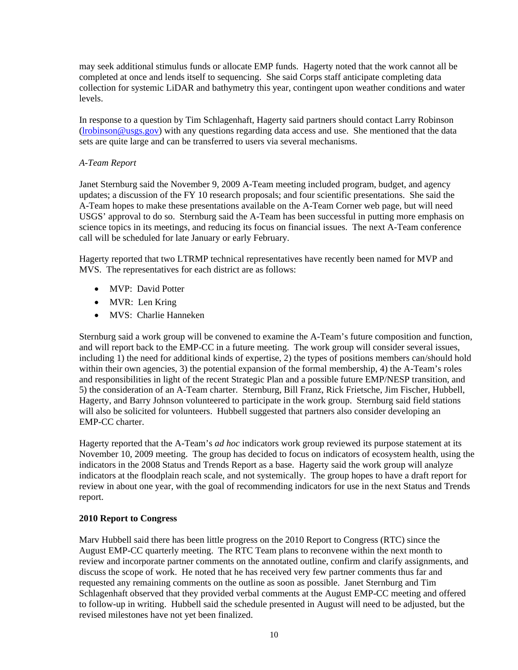may seek additional stimulus funds or allocate EMP funds. Hagerty noted that the work cannot all be completed at once and lends itself to sequencing. She said Corps staff anticipate completing data collection for systemic LiDAR and bathymetry this year, contingent upon weather conditions and water levels.

In response to a question by Tim Schlagenhaft, Hagerty said partners should contact Larry Robinson  $(Irobinson@usgs.gov)$  with any questions regarding data access and use. She mentioned that the data sets are quite large and can be transferred to users via several mechanisms.

## *A-Team Report*

Janet Sternburg said the November 9, 2009 A-Team meeting included program, budget, and agency updates; a discussion of the FY 10 research proposals; and four scientific presentations. She said the A-Team hopes to make these presentations available on the A-Team Corner web page, but will need USGS' approval to do so. Sternburg said the A-Team has been successful in putting more emphasis on science topics in its meetings, and reducing its focus on financial issues. The next A-Team conference call will be scheduled for late January or early February.

Hagerty reported that two LTRMP technical representatives have recently been named for MVP and MVS. The representatives for each district are as follows:

- MVP: David Potter
- MVR: Len Kring
- MVS: Charlie Hanneken

Sternburg said a work group will be convened to examine the A-Team's future composition and function, and will report back to the EMP-CC in a future meeting. The work group will consider several issues, including 1) the need for additional kinds of expertise, 2) the types of positions members can/should hold within their own agencies, 3) the potential expansion of the formal membership, 4) the A-Team's roles and responsibilities in light of the recent Strategic Plan and a possible future EMP/NESP transition, and 5) the consideration of an A-Team charter. Sternburg, Bill Franz, Rick Frietsche, Jim Fischer, Hubbell, Hagerty, and Barry Johnson volunteered to participate in the work group. Sternburg said field stations will also be solicited for volunteers. Hubbell suggested that partners also consider developing an EMP-CC charter.

Hagerty reported that the A-Team's *ad hoc* indicators work group reviewed its purpose statement at its November 10, 2009 meeting. The group has decided to focus on indicators of ecosystem health, using the indicators in the 2008 Status and Trends Report as a base. Hagerty said the work group will analyze indicators at the floodplain reach scale, and not systemically. The group hopes to have a draft report for review in about one year, with the goal of recommending indicators for use in the next Status and Trends report.

#### **2010 Report to Congress**

Marv Hubbell said there has been little progress on the 2010 Report to Congress (RTC) since the August EMP-CC quarterly meeting. The RTC Team plans to reconvene within the next month to review and incorporate partner comments on the annotated outline, confirm and clarify assignments, and discuss the scope of work. He noted that he has received very few partner comments thus far and requested any remaining comments on the outline as soon as possible. Janet Sternburg and Tim Schlagenhaft observed that they provided verbal comments at the August EMP-CC meeting and offered to follow-up in writing. Hubbell said the schedule presented in August will need to be adjusted, but the revised milestones have not yet been finalized.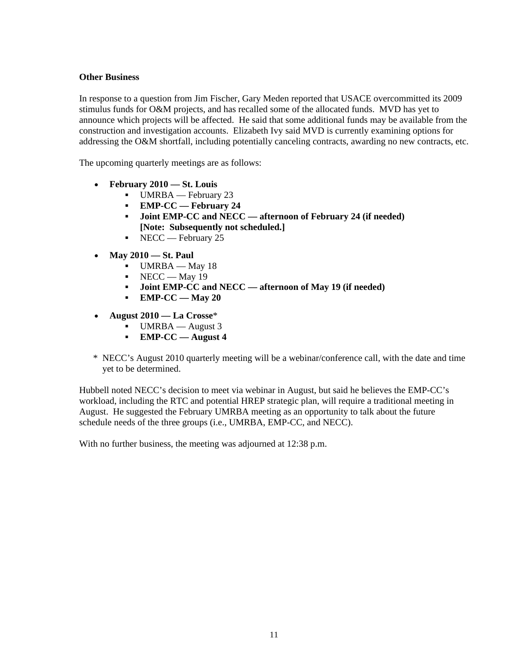### **Other Business**

In response to a question from Jim Fischer, Gary Meden reported that USACE overcommitted its 2009 stimulus funds for O&M projects, and has recalled some of the allocated funds. MVD has yet to announce which projects will be affected. He said that some additional funds may be available from the construction and investigation accounts. Elizabeth Ivy said MVD is currently examining options for addressing the O&M shortfall, including potentially canceling contracts, awarding no new contracts, etc.

The upcoming quarterly meetings are as follows:

- **February 2010 — St. Louis**
	- UMRBA February 23
	- **EMP-CC — February 24**
	- **Joint EMP-CC and NECC — afternoon of February 24 (if needed) [Note: Subsequently not scheduled.]**
	- $\blacksquare$  NECC February 25
- **May 2010 — St. Paul**
	- $-$  UMRBA May 18
	- $\blacksquare$  NECC May 19
	- **Joint EMP-CC and NECC — afternoon of May 19 (if needed)**
	- **EMP-CC — May 20**
- **August 2010 — La Crosse**\*
	- UMRBA August 3
	- **EMP-CC — August 4**
- \* NECC's August 2010 quarterly meeting will be a webinar/conference call, with the date and time yet to be determined.

Hubbell noted NECC's decision to meet via webinar in August, but said he believes the EMP-CC's workload, including the RTC and potential HREP strategic plan, will require a traditional meeting in August. He suggested the February UMRBA meeting as an opportunity to talk about the future schedule needs of the three groups (i.e., UMRBA, EMP-CC, and NECC).

With no further business, the meeting was adjourned at 12:38 p.m.